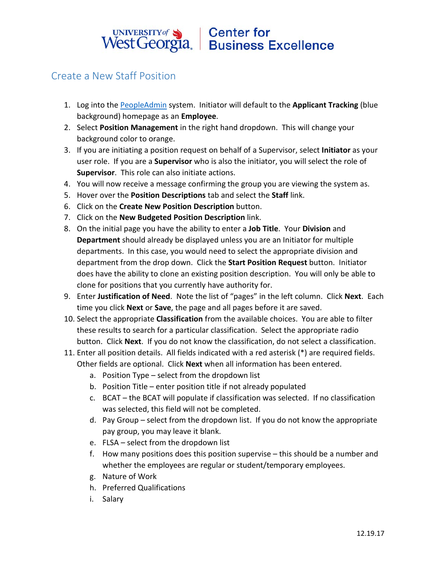## UNIVERSITY of Sand Center for<br>West Georgia. Business Excellence

## Create a New Staff Position

- 1. Log into the [PeopleAdmin](https://jobs.westga.edu/hr) system. Initiator will default to the **Applicant Tracking** (blue background) homepage as an **Employee**.
- 2. Select **Position Management** in the right hand dropdown. This will change your background color to orange.
- 3. If you are initiating a position request on behalf of a Supervisor, select **Initiator** as your user role. If you are a **Supervisor** who is also the initiator, you will select the role of **Supervisor**. This role can also initiate actions.
- 4. You will now receive a message confirming the group you are viewing the system as.
- 5. Hover over the **Position Descriptions** tab and select the **Staff** link.
- 6. Click on the **Create New Position Description** button.
- 7. Click on the **New Budgeted Position Description** link.
- 8. On the initial page you have the ability to enter a **Job Title**. Your **Division** and **Department** should already be displayed unless you are an Initiator for multiple departments. In this case, you would need to select the appropriate division and department from the drop down. Click the **Start Position Request** button. Initiator does have the ability to clone an existing position description. You will only be able to clone for positions that you currently have authority for.
- 9. Enter **Justification of Need**. Note the list of "pages" in the left column. Click **Next**. Each time you click **Next** or **Save**, the page and all pages before it are saved.
- 10. Select the appropriate **Classification** from the available choices. You are able to filter these results to search for a particular classification. Select the appropriate radio button. Click **Next**. If you do not know the classification, do not select a classification.
- 11. Enter all position details. All fields indicated with a red asterisk (\*) are required fields. Other fields are optional. Click **Next** when all information has been entered.
	- a. Position Type select from the dropdown list
	- b. Position Title enter position title if not already populated
	- c. BCAT the BCAT will populate if classification was selected. If no classification was selected, this field will not be completed.
	- d. Pay Group select from the dropdown list. If you do not know the appropriate pay group, you may leave it blank.
	- e. FLSA select from the dropdown list
	- f. How many positions does this position supervise this should be a number and whether the employees are regular or student/temporary employees.
	- g. Nature of Work
	- h. Preferred Qualifications
	- i. Salary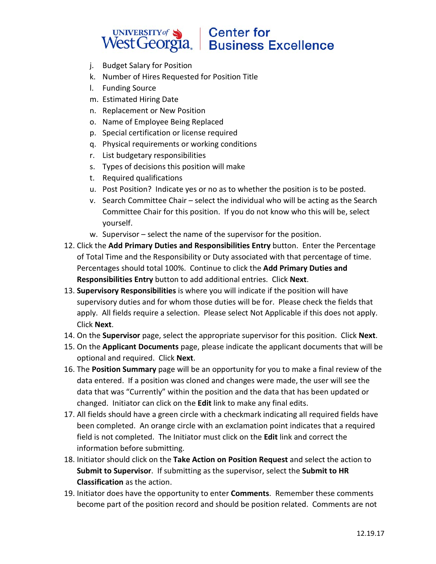## UNIVERSITY of Sand Center for<br>West Georgia. Business Excellence

- j. Budget Salary for Position
- k. Number of Hires Requested for Position Title
- l. Funding Source
- m. Estimated Hiring Date
- n. Replacement or New Position
- o. Name of Employee Being Replaced
- p. Special certification or license required
- q. Physical requirements or working conditions
- r. List budgetary responsibilities
- s. Types of decisions this position will make
- t. Required qualifications
- u. Post Position? Indicate yes or no as to whether the position is to be posted.
- v. Search Committee Chair select the individual who will be acting as the Search Committee Chair for this position. If you do not know who this will be, select yourself.
- w. Supervisor select the name of the supervisor for the position.
- 12. Click the **Add Primary Duties and Responsibilities Entry** button. Enter the Percentage of Total Time and the Responsibility or Duty associated with that percentage of time. Percentages should total 100%. Continue to click the **Add Primary Duties and Responsibilities Entry** button to add additional entries. Click **Next**.
- 13. **Supervisory Responsibilities** is where you will indicate if the position will have supervisory duties and for whom those duties will be for. Please check the fields that apply. All fields require a selection. Please select Not Applicable if this does not apply. Click **Next**.
- 14. On the **Supervisor** page, select the appropriate supervisor for this position. Click **Next**.
- 15. On the **Applicant Documents** page, please indicate the applicant documents that will be optional and required. Click **Next**.
- 16. The **Position Summary** page will be an opportunity for you to make a final review of the data entered. If a position was cloned and changes were made, the user will see the data that was "Currently" within the position and the data that has been updated or changed. Initiator can click on the **Edit** link to make any final edits.
- 17. All fields should have a green circle with a checkmark indicating all required fields have been completed. An orange circle with an exclamation point indicates that a required field is not completed. The Initiator must click on the **Edit** link and correct the information before submitting.
- 18. Initiator should click on the **Take Action on Position Request** and select the action to **Submit to Supervisor**. If submitting as the supervisor, select the **Submit to HR Classification** as the action.
- 19. Initiator does have the opportunity to enter **Comments**. Remember these comments become part of the position record and should be position related. Comments are not